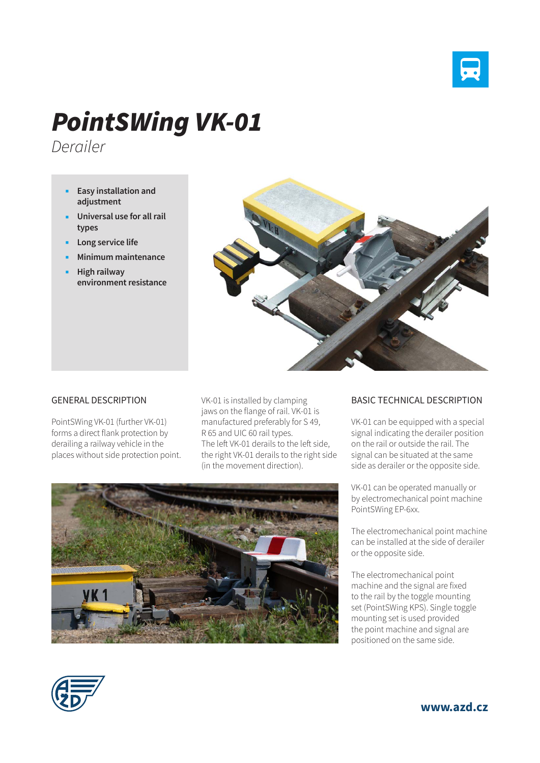

## *PointSWing VK-01*

*Derailer*

- **Easy installation and adjustment**
- **Universal use for all rail types**
- **Long service life**
- **Minimum maintenance**
- **High railway environment resistance**



## GENERAL DESCRIPTION

PointSWing VK-01 (further VK-01) forms a direct flank protection by derailing a railway vehicle in the places without side protection point. VK-01 is installed by clamping jaws on the flange of rail. VK-01 is manufactured preferably for S 49, R 65 and UIC 60 rail types. The left VK-01 derails to the left side, the right VK-01 derails to the right side (in the movement direction).



## BASIC TECHNICAL DESCRIPTION

VK-01 can be equipped with a special signal indicating the derailer position on the rail or outside the rail. The signal can be situated at the same side as derailer or the opposite side.

VK-01 can be operated manually or by electromechanical point machine PointSWing EP-6xx.

The electromechanical point machine can be installed at the side of derailer or the opposite side.

The electromechanical point machine and the signal are fixed to the rail by the toggle mounting set (PointSWing KPS). Single toggle mounting set is used provided the point machine and signal are positioned on the same side.